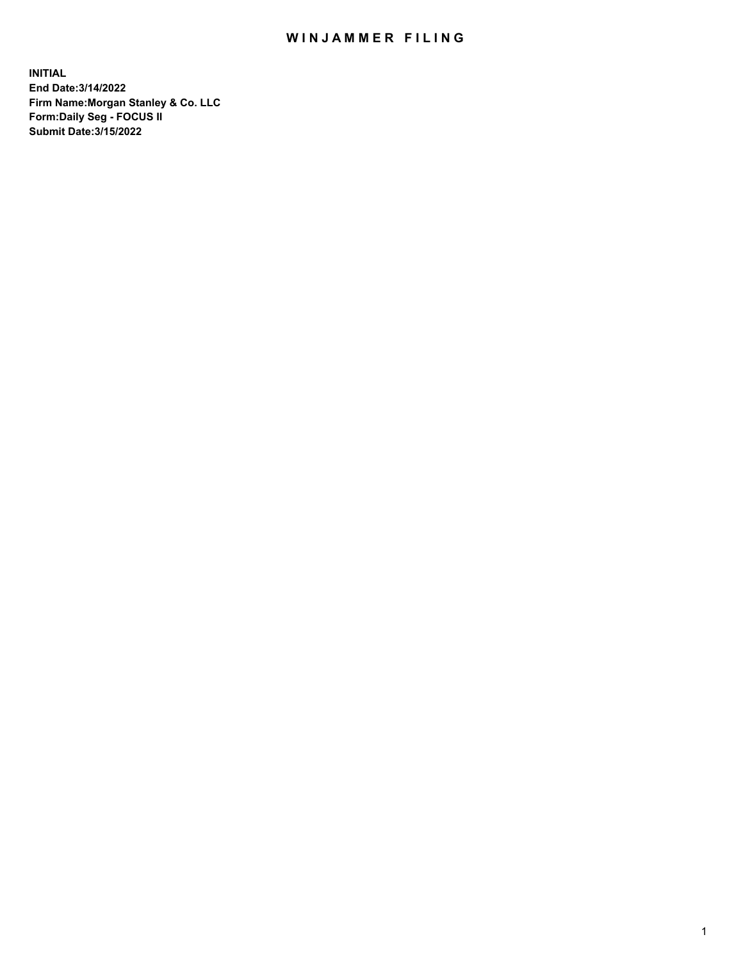## WIN JAMMER FILING

**INITIAL End Date:3/14/2022 Firm Name:Morgan Stanley & Co. LLC Form:Daily Seg - FOCUS II Submit Date:3/15/2022**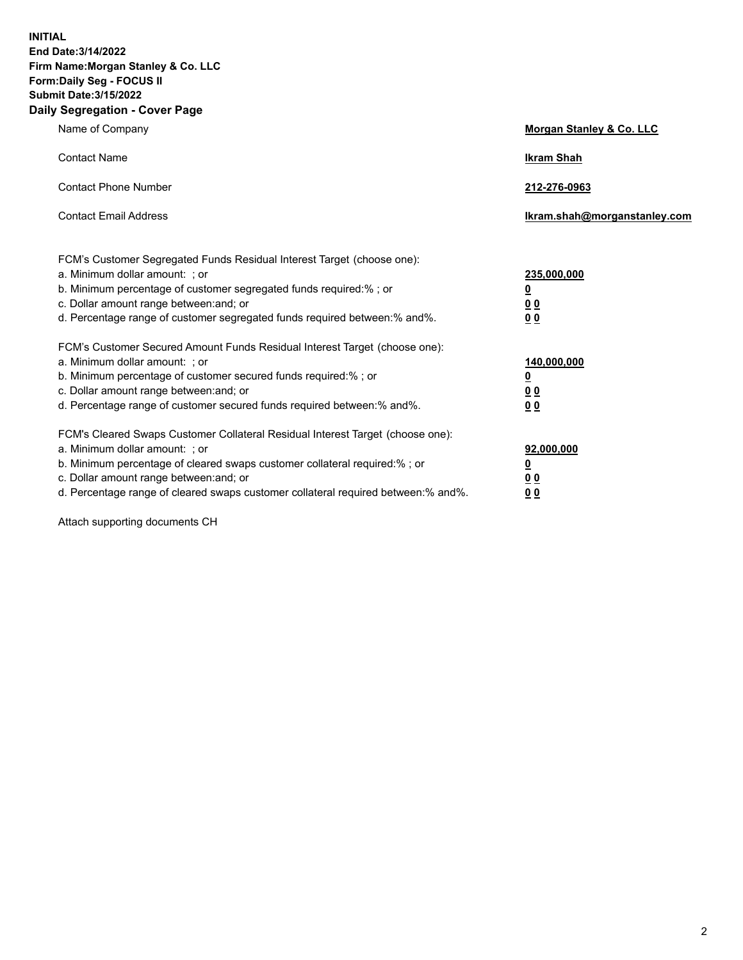**INITIAL End Date:3/14/2022 Firm Name:Morgan Stanley & Co. LLC Form:Daily Seg - FOCUS II Submit Date:3/15/2022 Daily Segregation - Cover Page**

| Name of Company                                                                                                                                                                                                                                                                                                                | <b>Morgan Stanley &amp; Co. LLC</b>                    |
|--------------------------------------------------------------------------------------------------------------------------------------------------------------------------------------------------------------------------------------------------------------------------------------------------------------------------------|--------------------------------------------------------|
| <b>Contact Name</b>                                                                                                                                                                                                                                                                                                            | <b>Ikram Shah</b>                                      |
| <b>Contact Phone Number</b>                                                                                                                                                                                                                                                                                                    | 212-276-0963                                           |
| <b>Contact Email Address</b>                                                                                                                                                                                                                                                                                                   | Ikram.shah@morganstanley.com                           |
| FCM's Customer Segregated Funds Residual Interest Target (choose one):<br>a. Minimum dollar amount: : or<br>b. Minimum percentage of customer segregated funds required:%; or<br>c. Dollar amount range between: and; or<br>d. Percentage range of customer segregated funds required between:% and%.                          | 235,000,000<br><u>0</u><br><u>00</u><br><u>00</u>      |
| FCM's Customer Secured Amount Funds Residual Interest Target (choose one):<br>a. Minimum dollar amount: ; or<br>b. Minimum percentage of customer secured funds required:%; or<br>c. Dollar amount range between: and; or<br>d. Percentage range of customer secured funds required between:% and%.                            | 140,000,000<br><u>0</u><br><u>00</u><br>0 <sub>0</sub> |
| FCM's Cleared Swaps Customer Collateral Residual Interest Target (choose one):<br>a. Minimum dollar amount: ; or<br>b. Minimum percentage of cleared swaps customer collateral required:% ; or<br>c. Dollar amount range between: and; or<br>d. Percentage range of cleared swaps customer collateral required between:% and%. | 92,000,000<br><u>0</u><br><u>00</u><br>00              |

Attach supporting documents CH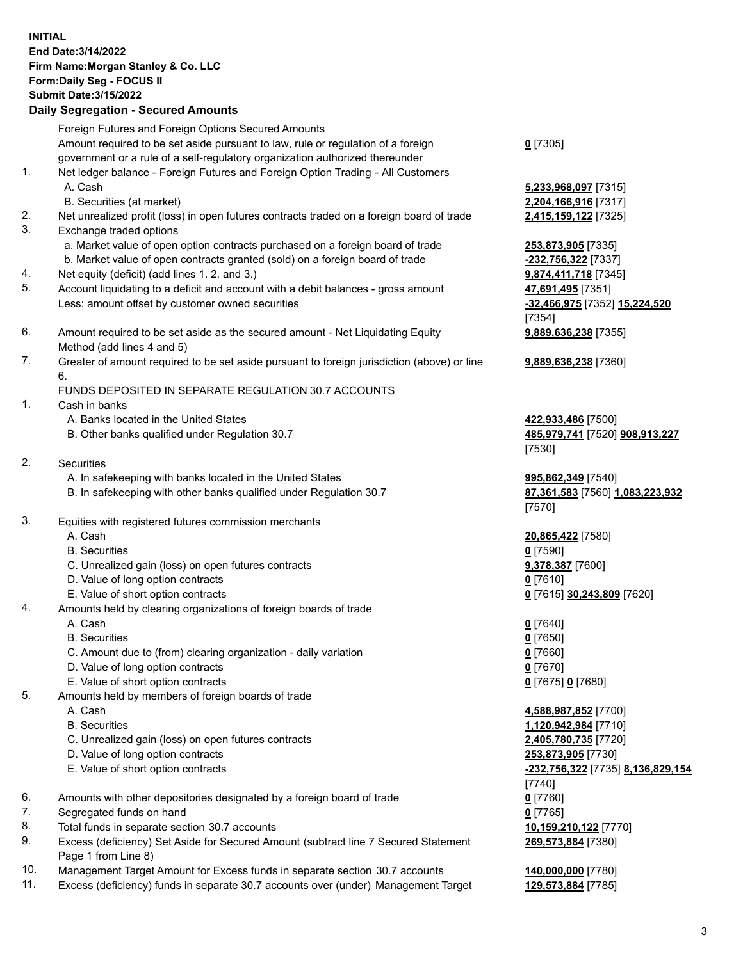## **INITIAL End Date:3/14/2022 Firm Name:Morgan Stanley & Co. LLC Form:Daily Seg - FOCUS II Submit Date:3/15/2022 Daily Segregation - Secured Amounts** Foreign Futures and Foreign Options Secured Amounts Amount required to be set aside pursuant to law, rule or regulation of a foreign government or a rule of a self-regulatory organization authorized thereunder 1. Net ledger balance - Foreign Futures and Foreign Option Trading - All Customers

- 
- 2. Net unrealized profit (loss) in open futures contracts traded on a foreign board of trade **2,415,159,122** [7325]
- 3. Exchange traded options
	- a. Market value of open option contracts purchased on a foreign board of trade **253,873,905** [7335]
	- b. Market value of open contracts granted (sold) on a foreign board of trade **-232,756,322** [7337]
- 4. Net equity (deficit) (add lines 1. 2. and 3.) **9,874,411,718** [7345]
- 5. Account liquidating to a deficit and account with a debit balances gross amount **47,691,495** [7351] Less: amount offset by customer owned securities **-32,466,975** [7352] **15,224,520**
- 6. Amount required to be set aside as the secured amount Net Liquidating Equity Method (add lines 4 and 5)
- 7. Greater of amount required to be set aside pursuant to foreign jurisdiction (above) or line 6.

## FUNDS DEPOSITED IN SEPARATE REGULATION 30.7 ACCOUNTS

- 1. Cash in banks
	- A. Banks located in the United States **422,933,486** [7500]
	- B. Other banks qualified under Regulation 30.7 **485,979,741** [7520] **908,913,227**
- 2. Securities
	- A. In safekeeping with banks located in the United States **995,862,349** [7540]
	- B. In safekeeping with other banks qualified under Regulation 30.7 **87,361,583** [7560] **1,083,223,932**
- 3. Equities with registered futures commission merchants
	-
	- B. Securities **0** [7590]
	- C. Unrealized gain (loss) on open futures contracts **9,378,387** [7600]
	- D. Value of long option contracts **0** [7610]
	- E. Value of short option contracts **0** [7615] **30,243,809** [7620]
- 4. Amounts held by clearing organizations of foreign boards of trade
	-
	- B. Securities **0** [7650]
	- C. Amount due to (from) clearing organization daily variation **0** [7660]
	- D. Value of long option contracts **0** [7670]
	- E. Value of short option contracts **0** [7675] **0** [7680]
- 5. Amounts held by members of foreign boards of trade
	-
	-
	- C. Unrealized gain (loss) on open futures contracts **2,405,780,735** [7720]
	- D. Value of long option contracts **253,873,905** [7730]
	-
- 6. Amounts with other depositories designated by a foreign board of trade **0** [7760]
- 7. Segregated funds on hand **0** [7765]
- 8. Total funds in separate section 30.7 accounts **10,159,210,122** [7770]
- 9. Excess (deficiency) Set Aside for Secured Amount (subtract line 7 Secured Statement Page 1 from Line 8)
- 10. Management Target Amount for Excess funds in separate section 30.7 accounts **140,000,000** [7780]
- 11. Excess (deficiency) funds in separate 30.7 accounts over (under) Management Target **129,573,884** [7785]

**0** [7305]

 A. Cash **5,233,968,097** [7315] B. Securities (at market) **2,204,166,916** [7317]

> [7354] **9,889,636,238** [7355]

**9,889,636,238** [7360]

[7530]

[7570]

A. Cash **20,865,422** [7580]

A. Cash **0** [7640]

 A. Cash **4,588,987,852** [7700] B. Securities **1,120,942,984** [7710] E. Value of short option contracts **-232,756,322** [7735] **8,136,829,154** [7740] **269,573,884** [7380]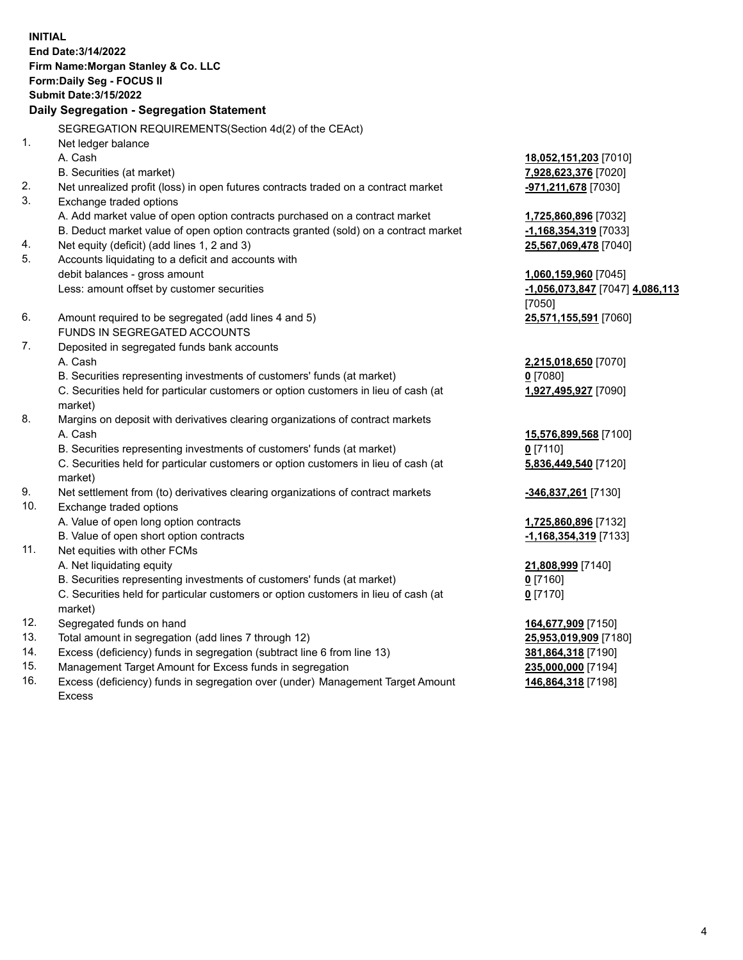**INITIAL End Date:3/14/2022 Firm Name:Morgan Stanley & Co. LLC Form:Daily Seg - FOCUS II Submit Date:3/15/2022 Daily Segregation - Segregation Statement** SEGREGATION REQUIREMENTS(Section 4d(2) of the CEAct) 1. Net ledger balance A. Cash **18,052,151,203** [7010] B. Securities (at market) **7,928,623,376** [7020] 2. Net unrealized profit (loss) in open futures contracts traded on a contract market **-971,211,678** [7030] 3. Exchange traded options A. Add market value of open option contracts purchased on a contract market **1,725,860,896** [7032] B. Deduct market value of open option contracts granted (sold) on a contract market **-1,168,354,319** [7033] 4. Net equity (deficit) (add lines 1, 2 and 3) **25,567,069,478** [7040] 5. Accounts liquidating to a deficit and accounts with debit balances - gross amount **1,060,159,960** [7045] Less: amount offset by customer securities **-1,056,073,847** [7047] **4,086,113** [7050] 6. Amount required to be segregated (add lines 4 and 5) **25,571,155,591** [7060] FUNDS IN SEGREGATED ACCOUNTS 7. Deposited in segregated funds bank accounts A. Cash **2,215,018,650** [7070] B. Securities representing investments of customers' funds (at market) **0** [7080] C. Securities held for particular customers or option customers in lieu of cash (at market) **1,927,495,927** [7090] 8. Margins on deposit with derivatives clearing organizations of contract markets A. Cash **15,576,899,568** [7100] B. Securities representing investments of customers' funds (at market) **0** [7110] C. Securities held for particular customers or option customers in lieu of cash (at market) **5,836,449,540** [7120] 9. Net settlement from (to) derivatives clearing organizations of contract markets **-346,837,261** [7130] 10. Exchange traded options A. Value of open long option contracts **1,725,860,896** [7132] B. Value of open short option contracts **-1,168,354,319** [7133] 11. Net equities with other FCMs A. Net liquidating equity **21,808,999** [7140] B. Securities representing investments of customers' funds (at market) **0** [7160] C. Securities held for particular customers or option customers in lieu of cash (at market) **0** [7170] 12. Segregated funds on hand **164,677,909** [7150] 13. Total amount in segregation (add lines 7 through 12) **25,953,019,909** [7180] 14. Excess (deficiency) funds in segregation (subtract line 6 from line 13) **381,864,318** [7190] 15. Management Target Amount for Excess funds in segregation **235,000,000** [7194]

16. Excess (deficiency) funds in segregation over (under) Management Target Amount Excess

**146,864,318** [7198]